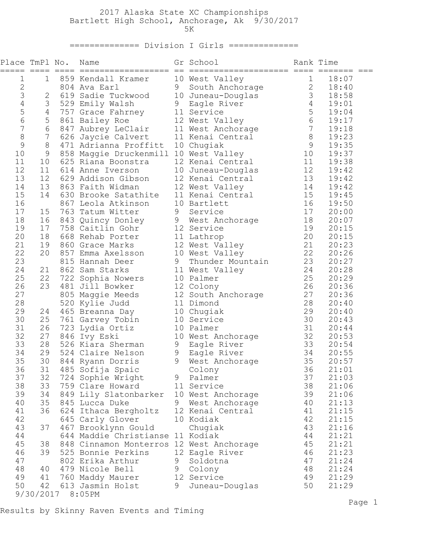## 2017 Alaska State XC Championships Bartlett High School, Anchorage, Ak 9/30/2017

 $5K$ 

============== Division I Girls ==============

| Place TmPl No.   |                 | Name                                                        |   | Gr School                             | Rank Time       |                |
|------------------|-----------------|-------------------------------------------------------------|---|---------------------------------------|-----------------|----------------|
| 1                | $\mathbf 1$     | 859 Kendall Kramer                                          |   | 10 West Valley                        | $\mathbf{1}$    | 18:07          |
| $\mathbf{2}$     |                 | 804 Ava Earl                                                | 9 | South Anchorage                       | 2               | 18:40          |
| 3                | 2               | 619 Sadie Tuckwood                                          |   | 10 Juneau-Douglas                     | 3 <sup>7</sup>  | 18:58          |
| 4                | 3               | 529 Emily Walsh                                             |   | 9 Eagle River                         | $4\overline{ }$ | 19:01          |
| 5                | $4\overline{ }$ | 757 Grace Fahrney                                           |   | 11 Service                            | $5\overline{}$  | 19:04          |
| $\sqrt{6}$       | 5               | 861 Bailey Roe                                              |   | 12 West Valley                        | $6\overline{6}$ | 19:17          |
| $\boldsymbol{7}$ | 6               | 847 Aubrey LeClair                                          |   | 11 West Anchorage                     | 7               | 19:18          |
| $\,8\,$          | $\overline{7}$  | 626 Jaycie Calvert                                          |   | 11 Kenai Central                      | $8\,$           | 19:23          |
| $\mathsf 9$      | 8               | 471 Adrianna Proffitt                                       |   | 10 Chugiak                            | 9               | 19:35          |
| 10<br>11         | 9               | 858 Maggie Druckenmill 10 West Valley<br>625 Riana Boonstra |   |                                       | 10<br>11        | 19:37<br>19:38 |
| 12               | 10<br>11        | 614 Anne Iverson                                            |   | 12 Kenai Central<br>10 Juneau-Douglas | 12              | 19:42          |
| 13               | 12              | 629 Addison Gibson                                          |   | 12 Kenai Central                      | 13              | 19:42          |
| 14               | 13              | 863 Faith Widman                                            |   | 12 West Valley                        | 14              | 19:42          |
| 15               | 14              | 630 Brooke Satathite                                        |   | 11 Kenai Central                      | 15              | 19:45          |
| 16               |                 | 867 Leola Atkinson                                          |   | 10 Bartlett                           | 16              | 19:50          |
| 17               | 15              | 763 Tatum Witter                                            | 9 | Service                               | 17              | 20:00          |
| 18               | 16              | 843 Quincy Donley                                           |   | 9 West Anchorage                      | 18              | 20:07          |
| 19               | 17              | 758 Caitlin Gohr                                            |   | 12 Service                            | 19              | 20:15          |
| 20               | 18              | 668 Rehab Porter                                            |   | 11 Lathrop                            | 20              | 20:15          |
| 21               | 19              | 860 Grace Marks                                             |   | 12 West Valley                        | 21              | 20:23          |
| 22               | 20              | 857 Emma Axelsson                                           |   | 10 West Valley                        | 22              | 20:26          |
| 23               |                 | 815 Hannah Deer                                             | 9 | Thunder Mountain                      |                 | 23 20:27       |
| 24               | 21              | 862 Sam Starks                                              |   | 11 West Valley                        | 24              | 20:28          |
| 25               | 22              | 722 Sophia Nowers                                           |   | 10 Palmer                             | 25              | 20:29          |
| 26               | 23              | 481 Jill Bowker                                             |   | 12 Colony                             | 26              | 20:36          |
| 27               |                 | 805 Maggie Meeds                                            |   | 12 South Anchorage                    | 27              | 20:36          |
| 28               |                 | 520 Kylie Judd                                              |   | 11 Dimond                             | 28              | 20:40          |
| 29               | 24              | 465 Breanna Day                                             |   | 10 Chugiak                            | 29              | 20:40          |
| 30               | 25              | 761 Garvey Tobin                                            |   | 10 Service                            | 30              | 20:43          |
| 31               | 26              | 723 Lydia Ortiz                                             |   | 10 Palmer                             | 31              | 20:44          |
| 32               | 27              | 846 Ivy Eski                                                |   | 10 West Anchorage                     | 32              | 20:53          |
| 33               | 28              | 526 Kiara Sherman                                           |   | 9 Eagle River                         |                 | 33 20:54       |
| 34               | 29              | 524 Claire Nelson                                           |   | 9 Eagle River                         |                 | 34 20:55       |
| 35               | 30              | 844 Ryann Dorris                                            | 9 | West Anchorage                        | 35              | 20:57          |
| 36               | 31              | 485 Sofija Spaic                                            |   | Colony                                | 36<br>37        | 21:01<br>21:03 |
| 37<br>38         | 32<br>33        | 724 Sophie Wright<br>759 Clare Howard                       | 9 | Palmer<br>11 Service                  | 38              | 21:06          |
| 39               | 34              | 849 Lily Slatonbarker                                       |   | 10 West Anchorage                     | 39              | 21:06          |
| 40               | 35              | 845 Lucca Duke                                              | 9 | West Anchorage                        | 40              | 21:13          |
| 41               | 36              | 624 Ithaca Bergholtz                                        |   | 12 Kenai Central                      | 41              | 21:15          |
| 42               |                 | 645 Carly Glover                                            |   | 10 Kodiak                             | 42              | 21:15          |
| 43               | 37              | 467 Brooklynn Gould                                         |   | Chugiak                               | 43              | 21:16          |
| 44               |                 | 644 Maddie Christianse 11 Kodiak                            |   |                                       | 44              | 21:21          |
| 45               | 38              | 848 Cinnamon Monterros 12 West Anchorage                    |   |                                       | 45              | 21:21          |
| 46               | 39              | 525 Bonnie Perkins                                          |   | 12 Eagle River                        | 46              | 21:23          |
| 47               |                 | 802 Erika Arthur                                            | 9 | Soldotna                              | 47              | 21:24          |
| 48               | 40              | 479 Nicole Bell                                             | 9 | Colony                                | 48              | 21:24          |
| 49               | 41              | 760 Maddy Maurer                                            |   | 12 Service                            | 49              | 21:29          |
| 50               | 42              | 613 Jasmin Holst                                            | 9 | Juneau-Douglas                        | 50              | 21:29          |
|                  | 9/30/2017       | 8:05PM                                                      |   |                                       |                 |                |

Results by Skinny Raven Events and Timing